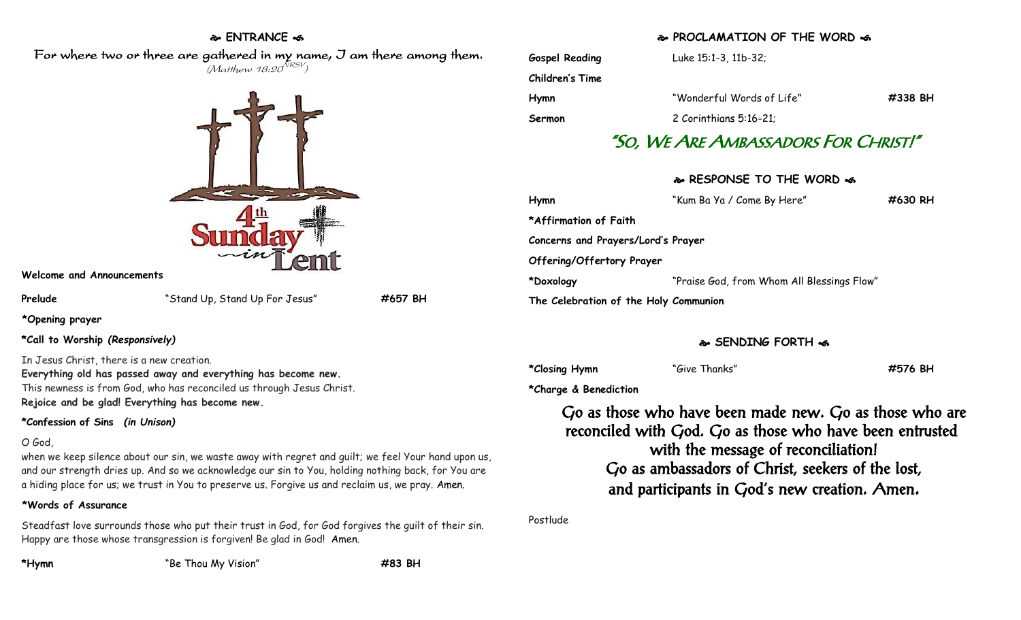### **ENTRANCE**

 For where two or three are gathered in my name, I am there among them.  $(M$ atthew 18:20 $^{NRSV})$ 



### **Welcome and Announcements**

**Prelude** "Stand Up, Stand Up For Jesus" **#657 BH**

**\*Opening prayer**

**\*Call to Worship** *(Responsively)*

In Jesus Christ, there is a new creation.

**Everything old has passed away and everything has become new.** This newness is from God, who has reconciled us through Jesus Christ. **Rejoice and be glad! Everything has become new.**

# **\*Confession of Sins** *(in Unison)*

### O God,

when we keep silence about our sin, we waste away with regret and guilt; we feel Your hand upon us, and our strength dries up. And so we acknowledge our sin to You, holding nothing back, for You are a hiding place for us; we trust in You to preserve us. Forgive us and reclaim us, we pray. Amen.

# **\*Words of Assurance**

Steadfast love surrounds those who put their trust in God, for God forgives the guilt of their sin. Happy are those whose transgression is forgiven! Be glad in God! Amen.

**\*Hymn** "Be Thou My Vision" **#83 BH**

### **PROCLAMATION OF THE WORD**

| "So, We Are Ambassadors For Christ!" |                           |         |  |
|--------------------------------------|---------------------------|---------|--|
| Sermon                               | 2 Corinthians 5:16-21;    |         |  |
| Hymn                                 | "Wonderful Words of Life" | #338 BH |  |
| Children's Time                      |                           |         |  |
| <b>Gospel Reading</b>                | Luke 15:1-3, 11b-32;      |         |  |

# **RESPONSE TO THE WORD**

| Hymn                                  | "Kum Ba Ya / Come By Here"                 | #630 RH |
|---------------------------------------|--------------------------------------------|---------|
| *Affirmation of Faith                 |                                            |         |
| Concerns and Prayers/Lord's Prayer    |                                            |         |
| Offering/Offertory Prayer             |                                            |         |
| *Doxology                             | "Praise God, from Whom All Blessings Flow" |         |
| The Celebration of the Holy Communion |                                            |         |

# **SENDING FORTH**

**\*Closing Hymn** "Give Thanks" **#576 BH**

**\*Charge & Benediction**

Go as those who have been made new. Go as those who are reconciled with God. Go as those who have been entrusted with the message of reconciliation! Go as ambassadors of Christ, seekers of the lost, and participants in God's new creation. Amen.

Postlude